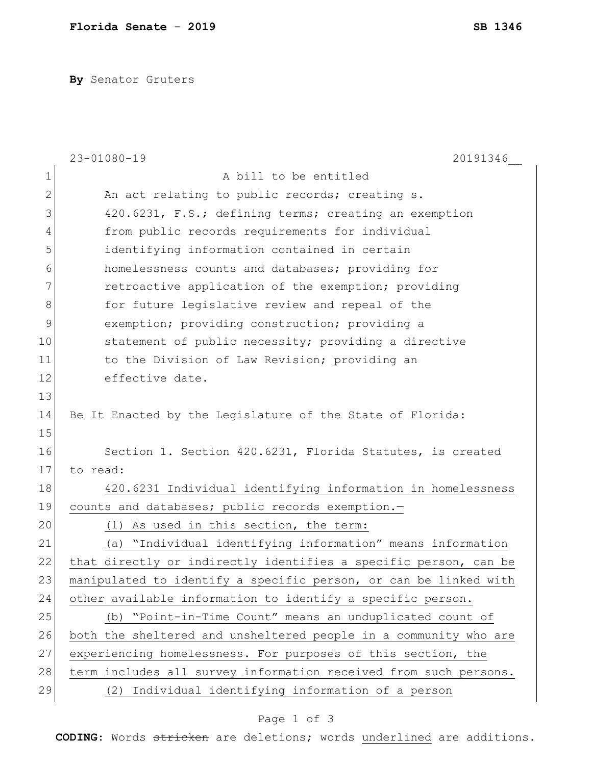**By** Senator Gruters

|    | $23 - 01080 - 19$<br>20191346                                    |
|----|------------------------------------------------------------------|
| 1  | A bill to be entitled                                            |
| 2  | An act relating to public records; creating s.                   |
| 3  | 420.6231, F.S.; defining terms; creating an exemption            |
| 4  | from public records requirements for individual                  |
| 5  | identifying information contained in certain                     |
| 6  | homelessness counts and databases; providing for                 |
| 7  | retroactive application of the exemption; providing              |
| 8  | for future legislative review and repeal of the                  |
| 9  | exemption; providing construction; providing a                   |
| 10 | statement of public necessity; providing a directive             |
| 11 | to the Division of Law Revision; providing an                    |
| 12 | effective date.                                                  |
| 13 |                                                                  |
| 14 | Be It Enacted by the Legislature of the State of Florida:        |
| 15 |                                                                  |
| 16 | Section 1. Section 420.6231, Florida Statutes, is created        |
| 17 | to read:                                                         |
| 18 | 420.6231 Individual identifying information in homelessness      |
| 19 | counts and databases; public records exemption.-                 |
| 20 | (1) As used in this section, the term:                           |
| 21 | "Individual identifying information" means information<br>(a)    |
| 22 | that directly or indirectly identifies a specific person, can be |
| 23 | manipulated to identify a specific person, or can be linked with |
| 24 | other available information to identify a specific person.       |
| 25 | (b) "Point-in-Time Count" means an unduplicated count of         |
| 26 | both the sheltered and unsheltered people in a community who are |
| 27 | experiencing homelessness. For purposes of this section, the     |
| 28 | term includes all survey information received from such persons. |
| 29 | (2) Individual identifying information of a person               |

## Page 1 of 3

**CODING**: Words stricken are deletions; words underlined are additions.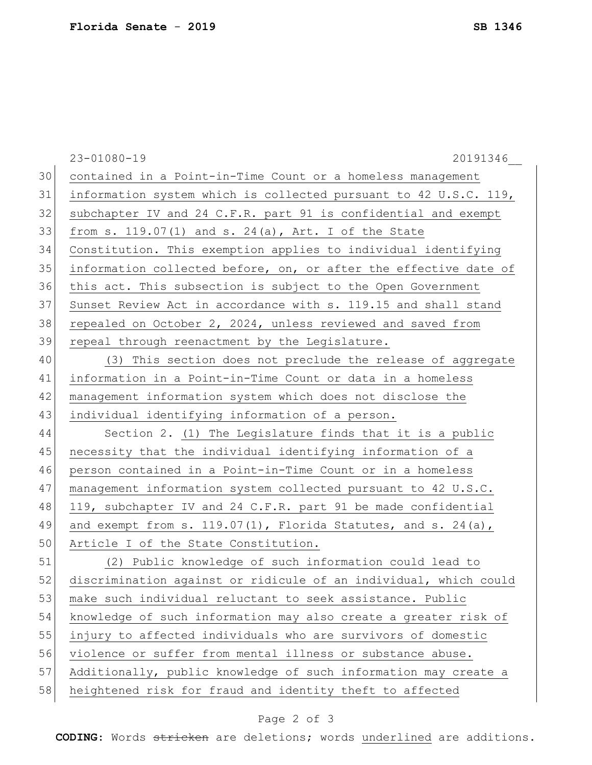|    | $23 - 01080 - 19$<br>20191346                                    |
|----|------------------------------------------------------------------|
| 30 | contained in a Point-in-Time Count or a homeless management      |
| 31 | information system which is collected pursuant to 42 U.S.C. 119, |
| 32 | subchapter IV and 24 C.F.R. part 91 is confidential and exempt   |
| 33 | from s. $119.07(1)$ and s. $24(a)$ , Art. I of the State         |
| 34 | Constitution. This exemption applies to individual identifying   |
| 35 | information collected before, on, or after the effective date of |
| 36 | this act. This subsection is subject to the Open Government      |
| 37 | Sunset Review Act in accordance with s. 119.15 and shall stand   |
| 38 | repealed on October 2, 2024, unless reviewed and saved from      |
| 39 | repeal through reenactment by the Legislature.                   |
| 40 | (3) This section does not preclude the release of aggregate      |
| 41 | information in a Point-in-Time Count or data in a homeless       |
| 42 | management information system which does not disclose the        |
| 43 | individual identifying information of a person.                  |
| 44 | Section 2. (1) The Legislature finds that it is a public         |
| 45 | necessity that the individual identifying information of a       |
| 46 | person contained in a Point-in-Time Count or in a homeless       |
| 47 | management information system collected pursuant to 42 U.S.C.    |
| 48 | 119, subchapter IV and 24 C.F.R. part 91 be made confidential    |
| 49 | and exempt from s. $119.07(1)$ , Florida Statutes, and s. 24(a), |
| 50 | Article I of the State Constitution.                             |
| 51 | (2) Public knowledge of such information could lead to           |
| 52 | discrimination against or ridicule of an individual, which could |
| 53 | make such individual reluctant to seek assistance. Public        |
| 54 | knowledge of such information may also create a greater risk of  |
| 55 | injury to affected individuals who are survivors of domestic     |
| 56 | violence or suffer from mental illness or substance abuse.       |
| 57 | Additionally, public knowledge of such information may create a  |
| 58 | heightened risk for fraud and identity theft to affected         |
|    |                                                                  |

## Page 2 of 3

**CODING**: Words stricken are deletions; words underlined are additions.